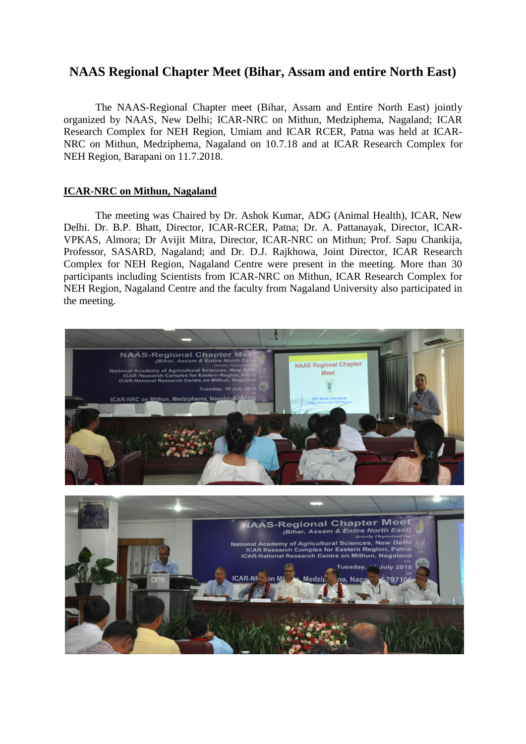## **NAAS Regional Chapter Meet (Bihar, Assam and entire North East)**

The NAAS-Regional Chapter meet (Bihar, Assam and Entire North East) jointly organized by NAAS, New Delhi; ICAR-NRC on Mithun, Medziphema, Nagaland; ICAR Research Complex for NEH Region, Umiam and ICAR RCER, Patna was held at ICAR-NRC on Mithun, Medziphema, Nagaland on 10.7.18 and at ICAR Research Complex for NEH Region, Barapani on 11.7.2018.

## **ICAR-NRC on Mithun, Nagaland**

The meeting was Chaired by Dr. Ashok Kumar, ADG (Animal Health), ICAR, New Delhi. Dr. B.P. Bhatt, Director, ICAR-RCER, Patna; Dr. A. Pattanayak, Director, ICAR-VPKAS, Almora; Dr Avijit Mitra, Director, ICAR-NRC on Mithun; Prof. Sapu Chankija, Professor, SASARD, Nagaland; and Dr. D.J. Rajkhowa, Joint Director, ICAR Research Complex for NEH Region, Nagaland Centre were present in the meeting. More than 30 participants including Scientists from ICAR-NRC on Mithun, ICAR Research Complex for NEH Region, Nagaland Centre and the faculty from Nagaland University also participated in the meeting.

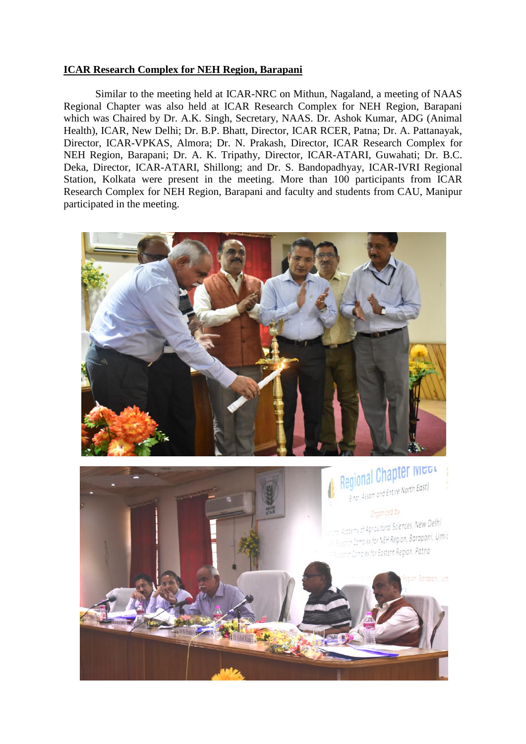## **ICAR Research Complex for NEH Region, Barapani**

Similar to the meeting held at ICAR-NRC on Mithun, Nagaland, a meeting of NAAS Regional Chapter was also held at ICAR Research Complex for NEH Region, Barapani which was Chaired by Dr. A.K. Singh, Secretary, NAAS. Dr. Ashok Kumar, ADG (Animal Health), ICAR, New Delhi; Dr. B.P. Bhatt, Director, ICAR RCER, Patna; Dr. A. Pattanayak, Director, ICAR-VPKAS, Almora; Dr. N. Prakash, Director, ICAR Research Complex for NEH Region, Barapani; Dr. A. K. Tripathy, Director, ICAR-ATARI, Guwahati; Dr. B.C. Deka, Director, ICAR-ATARI, Shillong; and Dr. S. Bandopadhyay, ICAR-IVRI Regional Station, Kolkata were present in the meeting. More than 100 participants from ICAR Research Complex for NEH Region, Barapani and faculty and students from CAU, Manipur participated in the meeting.